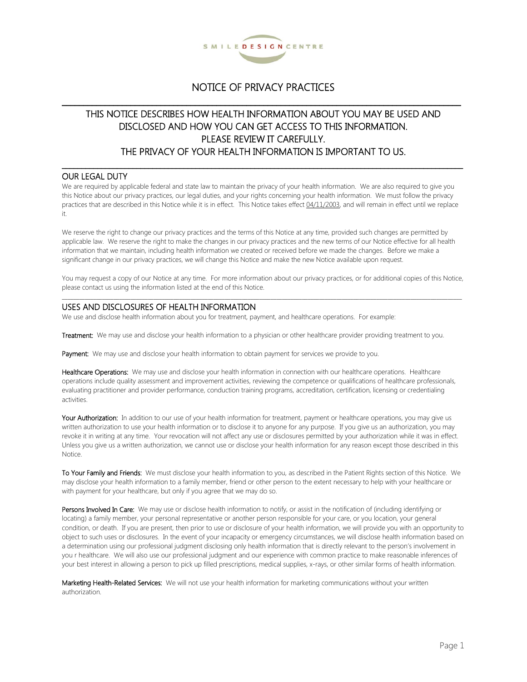

# NOTICE OF PRIVACY PRACTICES \_\_\_\_\_\_\_\_\_\_\_\_\_\_\_\_\_\_\_\_\_\_\_\_\_\_\_\_\_\_\_\_\_\_\_\_\_\_\_\_\_\_\_\_\_\_\_\_\_\_\_\_\_\_\_\_\_\_\_\_\_\_\_\_\_\_\_\_\_\_\_\_\_\_\_\_\_\_\_\_\_\_\_\_\_\_\_\_\_\_\_\_\_

# THIS NOTICE DESCRIBES HOW HEALTH INFORMATION ABOUT YOU MAY BE USED AND DISCLOSED AND HOW YOU CAN GET ACCESS TO THIS INFORMATION. PLEASE REVIEW IT CAREFULLY. THE PRIVACY OF YOUR HEALTH INFORMATION IS IMPORTANT TO US.

\_\_\_\_\_\_\_\_\_\_\_\_\_\_\_\_\_\_\_\_\_\_\_\_\_\_\_\_\_\_\_\_\_\_\_\_\_\_\_\_\_\_\_\_\_\_\_\_\_\_\_\_\_\_\_\_\_\_\_\_\_\_\_\_\_\_\_\_\_\_\_\_\_\_\_\_\_\_\_\_\_\_\_\_\_\_\_\_\_\_\_\_\_\_\_\_\_\_\_\_\_\_

## OUR LEGAL DUTY

We are required by applicable federal and state law to maintain the privacy of your health information. We are also required to give you this Notice about our privacy practices, our legal duties, and your rights concerning your health information. We must follow the privacy practices that are described in this Notice while it is in effect. This Notice takes effect 04/11/2003, and will remain in effect until we replace it.

We reserve the right to change our privacy practices and the terms of this Notice at any time, provided such changes are permitted by applicable law. We reserve the right to make the changes in our privacy practices and the new terms of our Notice effective for all health information that we maintain, including health information we created or received before we made the changes. Before we make a significant change in our privacy practices, we will change this Notice and make the new Notice available upon request.

You may request a copy of our Notice at any time. For more information about our privacy practices, or for additional copies of this Notice, please contact us using the information listed at the end of this Notice. \_\_\_\_\_\_\_\_\_\_\_\_\_\_\_\_\_\_\_\_\_\_\_\_\_\_\_\_\_\_\_\_\_\_\_\_\_\_\_\_\_\_\_\_\_\_\_\_\_\_\_\_\_\_\_\_\_\_\_\_\_\_\_\_\_\_\_\_\_\_\_\_\_\_\_\_\_\_\_\_\_\_\_\_\_\_\_\_\_\_\_\_\_\_\_\_\_\_\_\_\_\_\_\_\_\_\_\_\_\_\_\_\_\_\_\_\_\_\_\_\_\_\_\_\_\_\_\_\_\_\_\_\_\_\_\_\_\_\_\_

#### USES AND DISCLOSURES OF HEALTH INFORMATION

We use and disclose health information about you for treatment, payment, and healthcare operations. For example:

Treatment: We may use and disclose your health information to a physician or other healthcare provider providing treatment to you.

Payment: We may use and disclose your health information to obtain payment for services we provide to you.

Healthcare Operations: We may use and disclose your health information in connection with our healthcare operations. Healthcare operations include quality assessment and improvement activities, reviewing the competence or qualifications of healthcare professionals, evaluating practitioner and provider performance, conduction training programs, accreditation, certification, licensing or credentialing activities.

Your Authorization: In addition to our use of your health information for treatment, payment or healthcare operations, you may give us written authorization to use your health information or to disclose it to anyone for any purpose. If you give us an authorization, you may revoke it in writing at any time. Your revocation will not affect any use or disclosures permitted by your authorization while it was in effect. Unless you give us a written authorization, we cannot use or disclose your health information for any reason except those described in this Notice.

To Your Family and Friends: We must disclose your health information to you, as described in the Patient Rights section of this Notice. We may disclose your health information to a family member, friend or other person to the extent necessary to help with your healthcare or with payment for your healthcare, but only if you agree that we may do so.

Persons Involved In Care: We may use or disclose health information to notify, or assist in the notification of (including identifying or locating) a family member, your personal representative or another person responsible for your care, or you location, your general condition, or death. If you are present, then prior to use or disclosure of your health information, we will provide you with an opportunity to object to such uses or disclosures. In the event of your incapacity or emergency circumstances, we will disclose health information based on a determination using our professional judgment disclosing only health information that is directly relevant to the person's involvement in you r healthcare. We will also use our professional judgment and our experience with common practice to make reasonable inferences of your best interest in allowing a person to pick up filled prescriptions, medical supplies, x-rays, or other similar forms of health information.

Marketing Health-Related Services: We will not use your health information for marketing communications without your written authorization.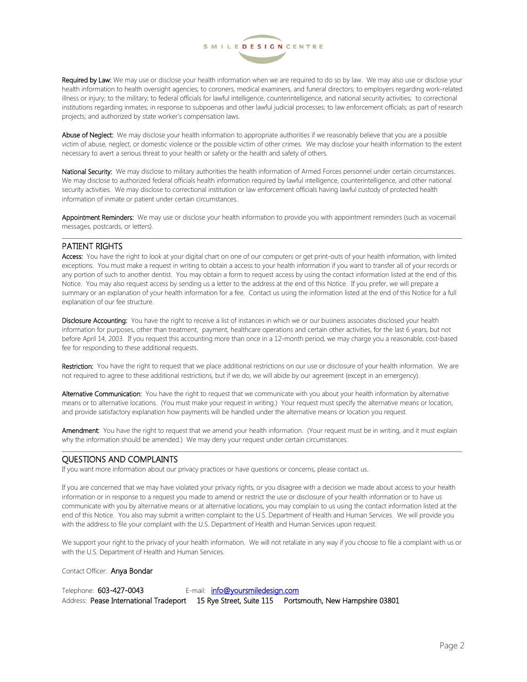

Required by Law: We may use or disclose your health information when we are required to do so by law. We may also use or disclose your health information to health oversight agencies; to coroners, medical examiners, and funeral directors; to employers regarding work-related illness or injury; to the military; to federal officials for lawful intelligence, counterintelligence, and national security activities; to correctional institutions regarding inmates; in response to subpoenas and other lawful judicial processes; to law enforcement officials; as part of research projects; and authorized by state worker's compensation laws.

Abuse of Neglect: We may disclose your health information to appropriate authorities if we reasonably believe that you are a possible victim of abuse, neglect, or domestic violence or the possible victim of other crimes. We may disclose your health information to the extent necessary to avert a serious threat to your health or safety or the health and safety of others.

National Security: We may disclose to military authorities the health information of Armed Forces personnel under certain circumstances. We may disclose to authorized federal officials health information required by lawful intelligence, counterintelligence, and other national security activities. We may disclose to correctional institution or law enforcement officials having lawful custody of protected health information of inmate or patient under certain circumstances.

Appointment Reminders: We may use or disclose your health information to provide you with appointment reminders (such as voicemail messages, postcards, or letters).  $\ldots \ldots \ldots \ldots \ldots$  . The contribution of the contribution of the contribution of the contribution of the contribution of the contribution of the contribution of the contribution of the contribution of the contribution of t

## PATIENT RIGHTS

Access: You have the right to look at your digital chart on one of our computers or get print-outs of your health information, with limited exceptions. You must make a request in writing to obtain a access to your health information if you want to transfer all of your records or any portion of such to another dentist. You may obtain a form to request access by using the contact information listed at the end of this Notice. You may also request access by sending us a letter to the address at the end of this Notice. If you prefer, we will prepare a summary or an explanation of your health information for a fee. Contact us using the information listed at the end of this Notice for a full explanation of our fee structure.

Disclosure Accounting: You have the right to receive a list of instances in which we or our business associates disclosed your health information for purposes, other than treatment, payment, healthcare operations and certain other activities, for the last 6 years, but not before April 14, 2003. If you request this accounting more than once in a 12-month period, we may charge you a reasonable, cost-based fee for responding to these additional requests.

Restriction: You have the right to request that we place additional restrictions on our use or disclosure of your health information. We are not required to agree to these additional restrictions, but if we do, we will abide by our agreement (except in an emergency).

Alternative Communication: You have the right to request that we communicate with you about your health information by alternative means or to alternative locations. (You must make your request in writing.) Your request must specify the alternative means or location, and provide satisfactory explanation how payments will be handled under the alternative means or location you request.

Amendment: You have the right to request that we amend your health information. (Your request must be in writing, and it must explain why the information should be amended.) We may deny your request under certain circumstances. \_\_\_\_\_\_\_\_\_\_\_\_\_\_\_\_\_\_\_\_\_\_\_\_\_\_\_\_\_\_\_\_\_\_\_\_\_\_\_\_\_\_\_\_\_\_\_\_\_\_\_\_\_\_\_\_\_\_\_\_\_\_\_\_\_\_\_\_\_\_\_\_\_\_\_\_\_\_\_\_\_\_\_\_\_\_\_\_\_\_\_\_\_\_\_\_\_\_\_\_\_\_\_\_\_\_\_\_\_\_\_\_\_\_\_\_\_\_\_\_\_\_\_\_\_\_\_\_\_\_\_\_\_\_\_\_\_\_\_\_

## QUESTIONS AND COMPLAINTS

If you want more information about our privacy practices or have questions or concerns, please contact us.

If you are concerned that we may have violated your privacy rights, or you disagree with a decision we made about access to your health information or in response to a request you made to amend or restrict the use or disclosure of your health information or to have us communicate with you by alternative means or at alternative locations, you may complain to us using the contact information listed at the end of this Notice. You also may submit a written complaint to the U.S. Department of Health and Human Services. We will provide you with the address to file your complaint with the U.S. Department of Health and Human Services upon request.

We support your right to the privacy of your health information. We will not retaliate in any way if you choose to file a complaint with us or with the U.S. Department of Health and Human Services.

Contact Officer: Anya Bondar

Telephone: 603-427-0043 E-mail: **[info@yoursmiledesign.com](mailto:info@yoursmiledesign.com)** Address: Pease International Tradeport 15 Rye Street, Suite 115 Portsmouth, New Hampshire 03801